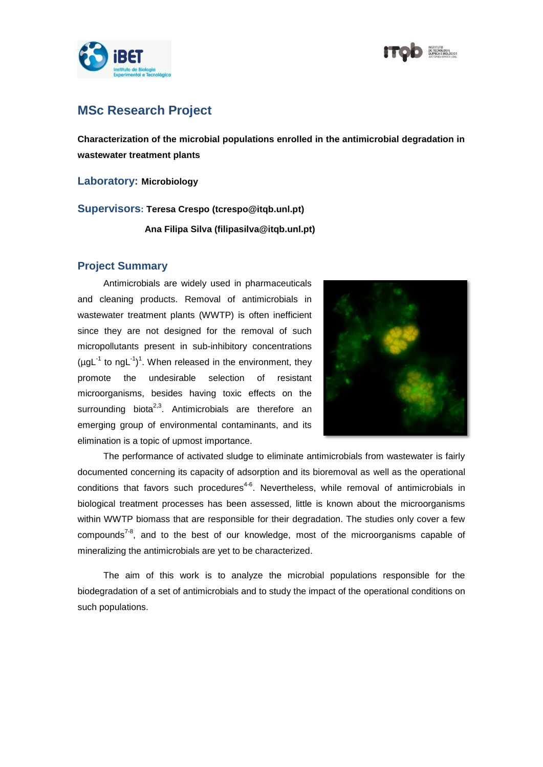

## **MSc Research Project**

**Characterization of the microbial populations enrolled in the antimicrobial degradation in wastewater treatment plants**

**Laboratory: Microbiology**

**Supervisors: Teresa Crespo (tcrespo@itqb.unl.pt)**

**Ana Filipa Silva (filipasilva@itqb.unl.pt)**

## **Project Summary**

Antimicrobials are widely used in pharmaceuticals and cleaning products. Removal of antimicrobials in wastewater treatment plants (WWTP) is often inefficient since they are not designed for the removal of such micropollutants present in sub-inhibitory concentrations  $(\mu g L^{-1}$  to ngL<sup>-1</sup>)<sup>1</sup>. When released in the environment, they promote the undesirable selection of resistant microorganisms, besides having toxic effects on the surrounding biota<sup>2,3</sup>. Antimicrobials are therefore an emerging group of environmental contaminants, and its elimination is a topic of upmost importance.



The performance of activated sludge to eliminate antimicrobials from wastewater is fairly documented concerning its capacity of adsorption and its bioremoval as well as the operational conditions that favors such procedures<sup>4-6</sup>. Nevertheless, while removal of antimicrobials in biological treatment processes has been assessed, little is known about the microorganisms within WWTP biomass that are responsible for their degradation. The studies only cover a few compounds<sup>7-8</sup>, and to the best of our knowledge, most of the microorganisms capable of mineralizing the antimicrobials are yet to be characterized.

The aim of this work is to analyze the microbial populations responsible for the biodegradation of a set of antimicrobials and to study the impact of the operational conditions on such populations.